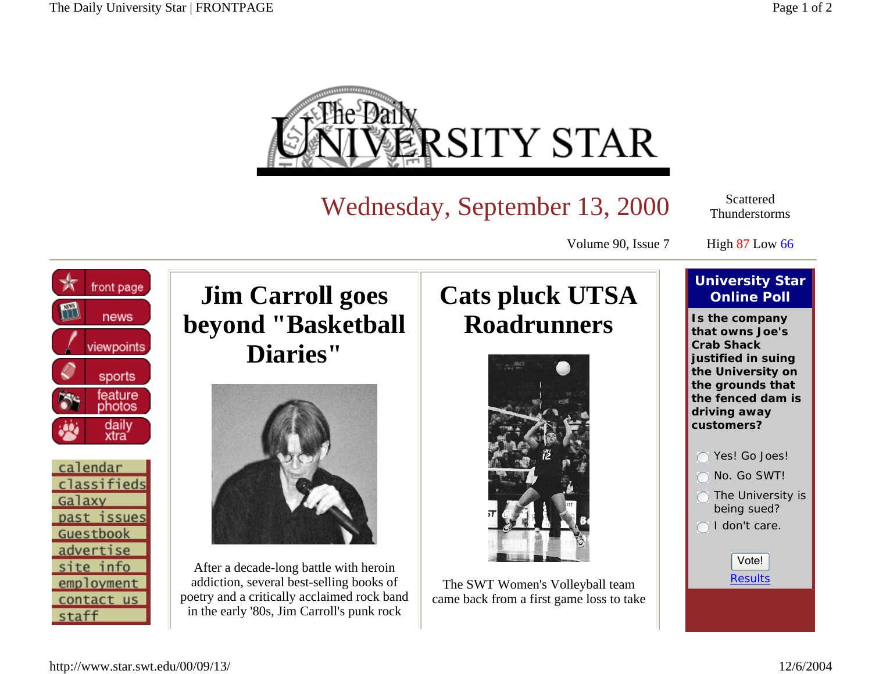

Wednesday, September 13, 2000

Scattered Thunderstorms

Volume 90, Issue 7

High 87 Low 66





**Jim Carroll goes beyond "Basketball Diaries"** 



After a decade-long battle with heroin addiction, several best-selling books of poetry and a critically acclaimed rock band in the early '80s, Jim Carroll's punk rock

## **Cats pluck UTSA Roadrunners**



The SWT Women's Volleyball team came back from a first game loss to take

## **University Star Online Poll**

**Is the company that owns Joe's Crab Shack justified in suing the University on the grounds that the fenced dam is driving away customers?**

- Yes! Go Joes! No. Go SWT!
- The University is being sued?
- I don't care.

Results Vote!